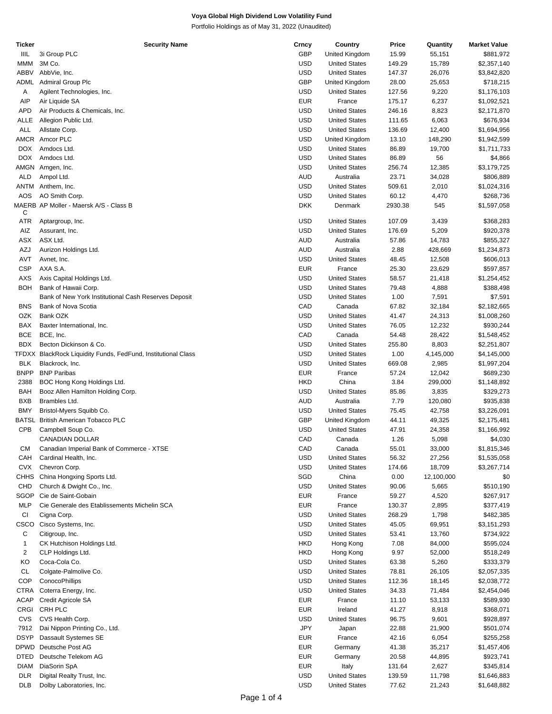Portfolio Holdings as of May 31, 2022 (Unaudited)

| Ticker       | <b>Security Name</b>                                          | Crncy      | Country              | Price   | Quantity   | <b>Market Value</b> |
|--------------|---------------------------------------------------------------|------------|----------------------|---------|------------|---------------------|
| IIIL         | 3i Group PLC                                                  | <b>GBP</b> | United Kingdom       | 15.99   | 55,151     | \$881,972           |
| <b>MMM</b>   | 3M Co.                                                        | <b>USD</b> | <b>United States</b> | 149.29  | 15,789     | \$2,357,140         |
| <b>ABBV</b>  | AbbVie, Inc.                                                  | <b>USD</b> | <b>United States</b> | 147.37  | 26,076     | \$3,842,820         |
| ADML         | <b>Admiral Group Plc</b>                                      | <b>GBP</b> | United Kingdom       | 28.00   | 25,653     | \$718,215           |
| Α            | Agilent Technologies, Inc.                                    | USD        | <b>United States</b> | 127.56  | 9,220      | \$1,176,103         |
| AIP          | Air Liquide SA                                                | <b>EUR</b> | France               | 175.17  | 6,237      | \$1,092,521         |
| APD          | Air Products & Chemicals, Inc.                                | <b>USD</b> | <b>United States</b> | 246.16  | 8,823      | \$2,171,870         |
|              |                                                               | <b>USD</b> |                      |         |            |                     |
| ALLE         | Allegion Public Ltd.                                          |            | <b>United States</b> | 111.65  | 6,063      | \$676,934           |
| ALL          | Allstate Corp.                                                | <b>USD</b> | <b>United States</b> | 136.69  | 12,400     | \$1,694,956         |
| AMCR         | Amcor PLC                                                     | <b>USD</b> | United Kingdom       | 13.10   | 148,290    | \$1,942,599         |
| <b>DOX</b>   | Amdocs Ltd.                                                   | <b>USD</b> | <b>United States</b> | 86.89   | 19,700     | \$1,711,733         |
| DOX.         | Amdocs Ltd.                                                   | <b>USD</b> | <b>United States</b> | 86.89   | 56         | \$4,866             |
| AMGN         | Amgen, Inc.                                                   | <b>USD</b> | <b>United States</b> | 256.74  | 12,385     | \$3,179,725         |
| <b>ALD</b>   | Ampol Ltd.                                                    | <b>AUD</b> | Australia            | 23.71   | 34,028     | \$806,889           |
| ANTM         | Anthem, Inc.                                                  | <b>USD</b> | <b>United States</b> | 509.61  | 2,010      | \$1,024,316         |
| AOS          | AO Smith Corp.                                                | <b>USD</b> | <b>United States</b> | 60.12   | 4,470      | \$268,736           |
|              | MAERB AP Moller - Maersk A/S - Class B                        | <b>DKK</b> | Denmark              | 2930.38 | 545        | \$1,597,058         |
| С            |                                                               |            |                      |         |            |                     |
| ATR          | Aptargroup, Inc.                                              | <b>USD</b> | <b>United States</b> | 107.09  | 3,439      | \$368,283           |
| AIZ          | Assurant, Inc.                                                | <b>USD</b> | <b>United States</b> | 176.69  | 5,209      | \$920,378           |
| ASX          | ASX Ltd.                                                      | <b>AUD</b> | Australia            | 57.86   | 14,783     | \$855,327           |
|              |                                                               |            |                      |         |            |                     |
| AZJ          | Aurizon Holdings Ltd.                                         | AUD        | Australia            | 2.88    | 428,669    | \$1,234,873         |
| AVT          | Avnet, Inc.                                                   | <b>USD</b> | <b>United States</b> | 48.45   | 12,508     | \$606,013           |
| <b>CSP</b>   | AXA S.A.                                                      | <b>EUR</b> | France               | 25.30   | 23,629     | \$597,857           |
| <b>AXS</b>   | Axis Capital Holdings Ltd.                                    | <b>USD</b> | <b>United States</b> | 58.57   | 21,418     | \$1,254,452         |
| <b>BOH</b>   | Bank of Hawaii Corp.                                          | USD        | <b>United States</b> | 79.48   | 4,888      | \$388,498           |
|              | Bank of New York Institutional Cash Reserves Deposit          | <b>USD</b> | <b>United States</b> | 1.00    | 7,591      | \$7,591             |
| <b>BNS</b>   | Bank of Nova Scotia                                           | CAD        | Canada               | 67.82   | 32,184     | \$2,182,665         |
| <b>OZK</b>   | Bank OZK                                                      | <b>USD</b> | <b>United States</b> | 41.47   | 24,313     | \$1,008,260         |
| BAX          | Baxter International, Inc.                                    | <b>USD</b> | <b>United States</b> | 76.05   | 12,232     | \$930,244           |
| <b>BCE</b>   | BCE, Inc.                                                     | CAD        | Canada               | 54.48   |            |                     |
|              |                                                               |            |                      |         | 28,422     | \$1,548,452         |
| <b>BDX</b>   | Becton Dickinson & Co.                                        | USD        | <b>United States</b> | 255.80  | 8,803      | \$2,251,807         |
|              | TFDXX BlackRock Liquidity Funds, FedFund, Institutional Class | <b>USD</b> | <b>United States</b> | 1.00    | 4,145,000  | \$4,145,000         |
| <b>BLK</b>   | Blackrock, Inc.                                               | <b>USD</b> | <b>United States</b> | 669.08  | 2,985      | \$1,997,204         |
| <b>BNPP</b>  | <b>BNP Paribas</b>                                            | <b>EUR</b> | France               | 57.24   | 12,042     | \$689,230           |
| 2388         | BOC Hong Kong Holdings Ltd.                                   | <b>HKD</b> | China                | 3.84    | 299,000    | \$1,148,892         |
| <b>BAH</b>   | Booz Allen Hamilton Holding Corp.                             | <b>USD</b> | <b>United States</b> | 85.86   | 3,835      | \$329,273           |
| <b>BXB</b>   | Brambles Ltd.                                                 | AUD        | Australia            | 7.79    | 120,080    | \$935,838           |
| <b>BMY</b>   | Bristol-Myers Squibb Co.                                      | <b>USD</b> | <b>United States</b> | 75.45   | 42,758     | \$3,226,091         |
| BATSL        | <b>British American Tobacco PLC</b>                           | <b>GBP</b> | United Kingdom       | 44.11   | 49,325     | \$2,175,481         |
| CPB          | Campbell Soup Co.                                             | USD        | <b>United States</b> | 47.91   | 24,358     | \$1,166,992         |
|              |                                                               |            | Canada               |         |            |                     |
|              | CANADIAN DOLLAR                                               | CAD        |                      | 1.26    | 5,098      | \$4,030             |
| CМ           | Canadian Imperial Bank of Commerce - XTSE                     | CAD        | Canada               | 55.01   | 33,000     | \$1,815,346         |
| CAH          | Cardinal Health, Inc.                                         | <b>USD</b> | <b>United States</b> | 56.32   | 27,256     | \$1,535,058         |
| <b>CVX</b>   | Chevron Corp.                                                 | <b>USD</b> | <b>United States</b> | 174.66  | 18,709     | \$3,267,714         |
| CHHS         | China Hongxing Sports Ltd.                                    | SGD        | China                | 0.00    | 12,100,000 | \$0                 |
| CHD          | Church & Dwight Co., Inc.                                     | <b>USD</b> | <b>United States</b> | 90.06   | 5,665      | \$510,190           |
| SGOP         | Cie de Saint-Gobain                                           | <b>EUR</b> | France               | 59.27   | 4,520      | \$267,917           |
| <b>MLP</b>   | Cie Generale des Etablissements Michelin SCA                  | <b>EUR</b> | France               | 130.37  | 2,895      | \$377,419           |
| CI           | Cigna Corp.                                                   | <b>USD</b> | <b>United States</b> | 268.29  | 1,798      | \$482,385           |
| CSCO         | Cisco Systems, Inc.                                           | <b>USD</b> | <b>United States</b> | 45.05   | 69,951     | \$3,151,293         |
|              |                                                               | <b>USD</b> |                      |         |            |                     |
| С            | Citigroup, Inc.                                               |            | <b>United States</b> | 53.41   | 13,760     | \$734,922           |
| $\mathbf{1}$ | CK Hutchison Holdings Ltd.                                    | <b>HKD</b> | Hong Kong            | 7.08    | 84,000     | \$595,024           |
| 2            | CLP Holdings Ltd.                                             | <b>HKD</b> | Hong Kong            | 9.97    | 52,000     | \$518,249           |
| KO           | Coca-Cola Co.                                                 | <b>USD</b> | <b>United States</b> | 63.38   | 5,260      | \$333,379           |
| CL           | Colgate-Palmolive Co.                                         | <b>USD</b> | <b>United States</b> | 78.81   | 26,105     | \$2,057,335         |
| <b>COP</b>   | ConocoPhillips                                                | <b>USD</b> | <b>United States</b> | 112.36  | 18,145     | \$2,038,772         |
| <b>CTRA</b>  | Coterra Energy, Inc.                                          | USD        | <b>United States</b> | 34.33   | 71,484     | \$2,454,046         |
| <b>ACAP</b>  | Credit Agricole SA                                            | <b>EUR</b> | France               | 11.10   | 53,133     | \$589,930           |
| CRGI         | CRH PLC                                                       | <b>EUR</b> | Ireland              | 41.27   | 8,918      | \$368,071           |
| CVS          | CVS Health Corp.                                              | <b>USD</b> | <b>United States</b> | 96.75   | 9,601      | \$928,897           |
| 7912         | Dai Nippon Printing Co., Ltd.                                 | <b>JPY</b> |                      | 22.88   | 21,900     | \$501,074           |
|              |                                                               |            | Japan                |         |            |                     |
| <b>DSYP</b>  | Dassault Systemes SE                                          | <b>EUR</b> | France               | 42.16   | 6,054      | \$255,258           |
| <b>DPWD</b>  | Deutsche Post AG                                              | <b>EUR</b> | Germany              | 41.38   | 35,217     | \$1,457,406         |
| DTED         | Deutsche Telekom AG                                           | <b>EUR</b> | Germany              | 20.58   | 44,895     | \$923,741           |
| <b>DIAM</b>  | DiaSorin SpA                                                  | <b>EUR</b> | Italy                | 131.64  | 2,627      | \$345,814           |
| <b>DLR</b>   | Digital Realty Trust, Inc.                                    | <b>USD</b> | <b>United States</b> | 139.59  | 11,798     | \$1,646,883         |
| <b>DLB</b>   | Dolby Laboratories, Inc.                                      | <b>USD</b> | <b>United States</b> | 77.62   | 21,243     | \$1,648,882         |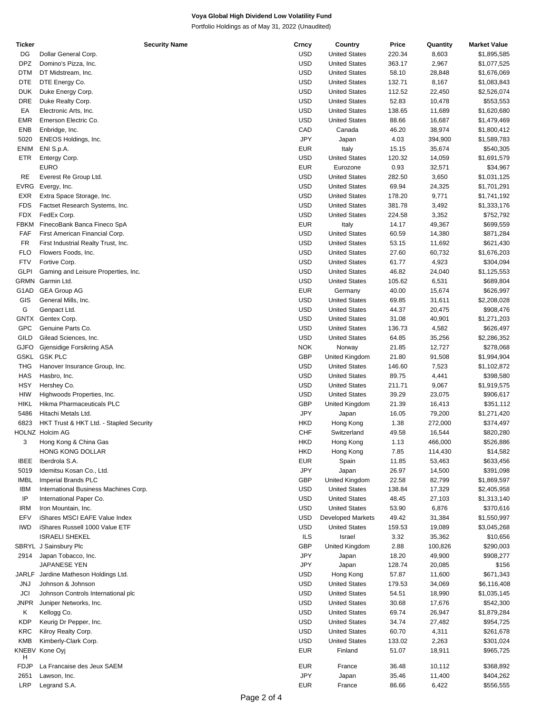Portfolio Holdings as of May 31, 2022 (Unaudited)

| Ticker      | <b>Security Name</b>                    | Crncy      | Country                  | Price  | Quantity | <b>Market Value</b> |
|-------------|-----------------------------------------|------------|--------------------------|--------|----------|---------------------|
| DG          | Dollar General Corp.                    | <b>USD</b> | <b>United States</b>     | 220.34 | 8,603    | \$1,895,585         |
| <b>DPZ</b>  | Domino's Pizza, Inc.                    | <b>USD</b> | <b>United States</b>     | 363.17 | 2,967    | \$1,077,525         |
| DTM         | DT Midstream, Inc.                      | <b>USD</b> | <b>United States</b>     | 58.10  | 28,848   | \$1,676,069         |
| <b>DTE</b>  | DTE Energy Co.                          | <b>USD</b> | <b>United States</b>     | 132.71 | 8,167    | \$1,083,843         |
| <b>DUK</b>  | Duke Energy Corp.                       | <b>USD</b> | <b>United States</b>     | 112.52 | 22,450   | \$2,526,074         |
| DRE         | Duke Realty Corp.                       | <b>USD</b> | <b>United States</b>     | 52.83  | 10,478   | \$553,553           |
| EA          | Electronic Arts, Inc.                   | <b>USD</b> | <b>United States</b>     | 138.65 | 11,689   | \$1,620,680         |
|             |                                         |            |                          |        |          |                     |
| <b>EMR</b>  | Emerson Electric Co.                    | <b>USD</b> | <b>United States</b>     | 88.66  | 16,687   | \$1,479,469         |
| ENB         | Enbridge, Inc.                          | CAD        | Canada                   | 46.20  | 38,974   | \$1,800,412         |
| 5020        | ENEOS Holdings, Inc.                    | <b>JPY</b> | Japan                    | 4.03   | 394,900  | \$1,589,783         |
| ENIM        | ENI S.p.A.                              | <b>EUR</b> | Italy                    | 15.15  | 35,674   | \$540,305           |
| ETR         | Entergy Corp.                           | <b>USD</b> | <b>United States</b>     | 120.32 | 14,059   | \$1,691,579         |
|             | <b>EURO</b>                             | <b>EUR</b> | Eurozone                 | 0.93   | 32,571   | \$34,967            |
| RE          | Everest Re Group Ltd.                   | <b>USD</b> | <b>United States</b>     | 282.50 | 3,650    | \$1,031,125         |
| EVRG        | Evergy, Inc.                            | <b>USD</b> | <b>United States</b>     | 69.94  | 24,325   | \$1,701,291         |
| EXR         | Extra Space Storage, Inc.               | <b>USD</b> | <b>United States</b>     | 178.20 | 9,771    | \$1,741,192         |
| <b>FDS</b>  | Factset Research Systems, Inc.          | <b>USD</b> | <b>United States</b>     | 381.78 | 3,492    | \$1,333,176         |
|             |                                         |            |                          |        |          |                     |
| FDX         | FedEx Corp.                             | <b>USD</b> | <b>United States</b>     | 224.58 | 3,352    | \$752,792           |
| FBKM        | FinecoBank Banca Fineco SpA             | <b>EUR</b> | Italy                    | 14.17  | 49,367   | \$699,559           |
| FAF         | First American Financial Corp.          | <b>USD</b> | <b>United States</b>     | 60.59  | 14,380   | \$871,284           |
| FR          | First Industrial Realty Trust, Inc.     | <b>USD</b> | <b>United States</b>     | 53.15  | 11,692   | \$621,430           |
| <b>FLO</b>  | Flowers Foods, Inc.                     | <b>USD</b> | <b>United States</b>     | 27.60  | 60,732   | \$1,676,203         |
| <b>FTV</b>  | Fortive Corp.                           | <b>USD</b> | <b>United States</b>     | 61.77  | 4,923    | \$304,094           |
| <b>GLPI</b> | Gaming and Leisure Properties, Inc.     | <b>USD</b> | <b>United States</b>     | 46.82  | 24,040   | \$1,125,553         |
| <b>GRMN</b> | Garmin Ltd.                             | <b>USD</b> | <b>United States</b>     | 105.62 | 6,531    | \$689,804           |
| G1AD        | <b>GEA Group AG</b>                     | <b>EUR</b> | Germany                  | 40.00  | 15,674   | \$626,997           |
| GIS         | General Mills, Inc.                     | <b>USD</b> | <b>United States</b>     | 69.85  |          |                     |
|             |                                         |            |                          |        | 31,611   | \$2,208,028         |
| G           | Genpact Ltd.                            | <b>USD</b> | <b>United States</b>     | 44.37  | 20,475   | \$908,476           |
| GNTX        | Gentex Corp.                            | <b>USD</b> | <b>United States</b>     | 31.08  | 40,901   | \$1,271,203         |
| <b>GPC</b>  | Genuine Parts Co.                       | <b>USD</b> | <b>United States</b>     | 136.73 | 4,582    | \$626,497           |
| GILD        | Gilead Sciences, Inc.                   | <b>USD</b> | <b>United States</b>     | 64.85  | 35,256   | \$2,286,352         |
| <b>GJFO</b> | Gjensidige Forsikring ASA               | <b>NOK</b> | Norway                   | 21.85  | 12,727   | \$278,068           |
| <b>GSKL</b> | <b>GSK PLC</b>                          | <b>GBP</b> | United Kingdom           | 21.80  | 91,508   | \$1,994,904         |
| <b>THG</b>  | Hanover Insurance Group, Inc.           | <b>USD</b> | <b>United States</b>     | 146.60 | 7,523    | \$1,102,872         |
| HAS         | Hasbro, Inc.                            | <b>USD</b> | <b>United States</b>     | 89.75  | 4,441    | \$398,580           |
| <b>HSY</b>  | Hershey Co.                             | <b>USD</b> | <b>United States</b>     | 211.71 | 9,067    | \$1,919,575         |
| <b>HIW</b>  |                                         | <b>USD</b> | <b>United States</b>     | 39.29  |          | \$906,617           |
|             | Highwoods Properties, Inc.              |            |                          |        | 23,075   |                     |
| <b>HIKL</b> | Hikma Pharmaceuticals PLC               | <b>GBP</b> | United Kingdom           | 21.39  | 16,413   | \$351,112           |
| 5486        | Hitachi Metals Ltd.                     | <b>JPY</b> | Japan                    | 16.05  | 79,200   | \$1,271,420         |
| 6823        | HKT Trust & HKT Ltd. - Stapled Security | HKD        | Hong Kong                | 1.38   | 272,000  | \$374,497           |
|             | HOLNZ Holcim AG                         | <b>CHF</b> | Switzerland              | 49.58  | 16,544   | \$820,280           |
| 3           | Hong Kong & China Gas                   | <b>HKD</b> | Hong Kong                | 1.13   | 466,000  | \$526,886           |
|             | HONG KONG DOLLAR                        | HKD        | Hong Kong                | 7.85   | 114,430  | \$14,582            |
| <b>IBEE</b> | Iberdrola S.A.                          | <b>EUR</b> | Spain                    | 11.85  | 53,463   | \$633,456           |
| 5019        | Idemitsu Kosan Co., Ltd.                | <b>JPY</b> | Japan                    | 26.97  | 14,500   | \$391,098           |
| IMBL        | Imperial Brands PLC                     | <b>GBP</b> | United Kingdom           | 22.58  | 82,799   | \$1,869,597         |
| <b>IBM</b>  | International Business Machines Corp.   | <b>USD</b> | <b>United States</b>     | 138.84 |          |                     |
|             |                                         |            |                          |        | 17,329   | \$2,405,958         |
| IP          | International Paper Co.                 | <b>USD</b> | <b>United States</b>     | 48.45  | 27,103   | \$1,313,140         |
| <b>IRM</b>  | Iron Mountain, Inc.                     | <b>USD</b> | <b>United States</b>     | 53.90  | 6,876    | \$370,616           |
| EFV         | iShares MSCI EAFE Value Index           | <b>USD</b> | <b>Developed Markets</b> | 49.42  | 31,384   | \$1,550,997         |
| <b>IWD</b>  | iShares Russell 1000 Value ETF          | <b>USD</b> | <b>United States</b>     | 159.53 | 19,089   | \$3,045,268         |
|             | <b>ISRAELI SHEKEL</b>                   | <b>ILS</b> | Israel                   | 3.32   | 35,362   | \$10,656            |
|             | SBRYL J Sainsbury Plc                   | <b>GBP</b> | United Kingdom           | 2.88   | 100,826  | \$290,003           |
| 2914        | Japan Tobacco, Inc.                     | JPY        | Japan                    | 18.20  | 49,900   | \$908,277           |
|             | JAPANESE YEN                            | JPY        | Japan                    | 128.74 | 20,085   | \$156               |
|             | JARLF Jardine Matheson Holdings Ltd.    | USD        | Hong Kong                | 57.87  | 11,600   | \$671,343           |
|             |                                         |            |                          |        |          |                     |
| JNJ         | Johnson & Johnson                       | USD        | <b>United States</b>     | 179.53 | 34,069   | \$6,116,408         |
| JCI         | Johnson Controls International plc      | <b>USD</b> | <b>United States</b>     | 54.51  | 18,990   | \$1,035,145         |
| JNPR        | Juniper Networks, Inc.                  | <b>USD</b> | <b>United States</b>     | 30.68  | 17,676   | \$542,300           |
| Κ           | Kellogg Co.                             | <b>USD</b> | <b>United States</b>     | 69.74  | 26,947   | \$1,879,284         |
| KDP         | Keurig Dr Pepper, Inc.                  | USD        | <b>United States</b>     | 34.74  | 27,482   | \$954,725           |
| KRC         | Kilroy Realty Corp.                     | <b>USD</b> | <b>United States</b>     | 60.70  | 4,311    | \$261,678           |
| <b>KMB</b>  | Kimberly-Clark Corp.                    | <b>USD</b> | <b>United States</b>     | 133.02 | 2,263    | \$301,024           |
|             | KNEBV Kone Oyj                          | <b>EUR</b> | Finland                  | 51.07  | 18,911   | \$965,725           |
| н           |                                         |            |                          |        |          |                     |
| FDJP        | La Francaise des Jeux SAEM              | <b>EUR</b> | France                   | 36.48  | 10,112   | \$368,892           |
| 2651        | Lawson, Inc.                            | <b>JPY</b> | Japan                    | 35.46  | 11,400   | \$404,262           |
| LRP         | Legrand S.A.                            | <b>EUR</b> | France                   | 86.66  | 6,422    | \$556,555           |
|             |                                         |            |                          |        |          |                     |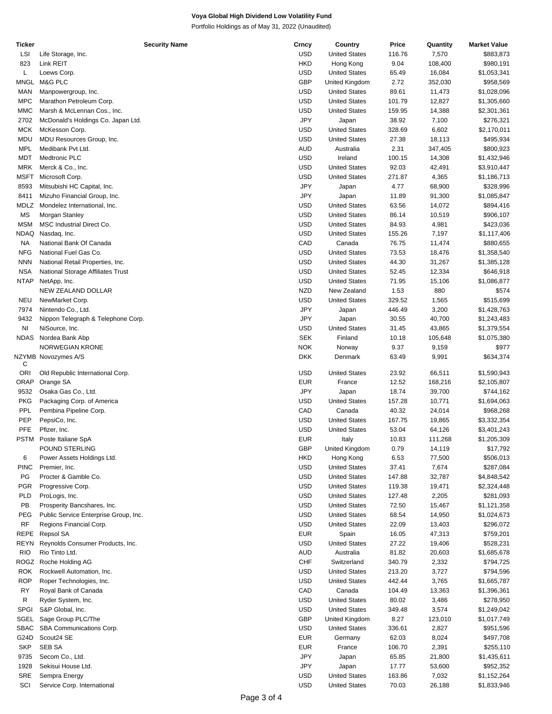Portfolio Holdings as of May 31, 2022 (Unaudited)

| Ticker      |                                       | <b>Security Name</b> | Crncy      | Country              | Price  | Quantity | <b>Market Value</b>   |
|-------------|---------------------------------------|----------------------|------------|----------------------|--------|----------|-----------------------|
| LSI         | Life Storage, Inc.                    |                      | <b>USD</b> | <b>United States</b> | 116.76 | 7,570    | \$883,873             |
| 823         | Link REIT                             |                      | <b>HKD</b> | Hong Kong            | 9.04   | 108,400  | \$980,191             |
| L           | Loews Corp.                           |                      | <b>USD</b> | <b>United States</b> | 65.49  | 16,084   | \$1,053,341           |
| MNGL        | M&G PLC                               |                      | <b>GBP</b> | United Kingdom       | 2.72   | 352,030  | \$958,569             |
| <b>MAN</b>  | Manpowergroup, Inc.                   |                      | USD        | <b>United States</b> | 89.61  | 11,473   | \$1,028,096           |
| <b>MPC</b>  | Marathon Petroleum Corp.              |                      | <b>USD</b> | <b>United States</b> | 101.79 | 12,827   | \$1,305,660           |
| <b>MMC</b>  | Marsh & McLennan Cos., Inc.           |                      | USD        | <b>United States</b> | 159.95 | 14,388   | \$2,301,361           |
| 2702        | McDonald's Holdings Co. Japan Ltd.    |                      | <b>JPY</b> | Japan                | 38.92  | 7,100    | \$276,321             |
| <b>MCK</b>  |                                       |                      | USD        | <b>United States</b> |        |          |                       |
|             | McKesson Corp.                        |                      |            |                      | 328.69 | 6,602    | \$2,170,011           |
| MDU         | MDU Resources Group, Inc.             |                      | USD        | <b>United States</b> | 27.38  | 18,113   | \$495,934             |
| <b>MPL</b>  | Medibank Pvt Ltd.                     |                      | AUD        | Australia            | 2.31   | 347,405  | \$800,923             |
| MDT         | Medtronic PLC                         |                      | <b>USD</b> | Ireland              | 100.15 | 14,308   | \$1,432,946           |
| MRK         | Merck & Co., Inc.                     |                      | USD        | <b>United States</b> | 92.03  | 42,491   | \$3,910,447           |
| <b>MSFT</b> | Microsoft Corp.                       |                      | <b>USD</b> | <b>United States</b> | 271.87 | 4,365    | \$1,186,713           |
| 8593        | Mitsubishi HC Capital, Inc.           |                      | <b>JPY</b> | Japan                | 4.77   | 68,900   | \$328,996             |
| 8411        | Mizuho Financial Group, Inc.          |                      | JPY        | Japan                | 11.89  | 91,300   | \$1,085,847           |
| MDLZ        | Mondelez International, Inc.          |                      | USD        | <b>United States</b> | 63.56  | 14,072   | \$894,416             |
| MS          | Morgan Stanley                        |                      | <b>USD</b> | <b>United States</b> | 86.14  | 10,519   | \$906,107             |
| <b>MSM</b>  | MSC Industrial Direct Co.             |                      | <b>USD</b> | <b>United States</b> | 84.93  | 4,981    | \$423,036             |
| NDAQ        | Nasdaq, Inc.                          |                      | <b>USD</b> | <b>United States</b> | 155.26 | 7,197    | \$1,117,406           |
| NA          | National Bank Of Canada               |                      | CAD        | Canada               | 76.75  | 11,474   | \$880,655             |
| <b>NFG</b>  | National Fuel Gas Co.                 |                      | USD        | <b>United States</b> | 73.53  | 18,476   | \$1,358,540           |
|             |                                       |                      |            | <b>United States</b> |        |          |                       |
| <b>NNN</b>  | National Retail Properties, Inc.      |                      | <b>USD</b> |                      | 44.30  | 31,267   | \$1,385,128           |
| <b>NSA</b>  | National Storage Affiliates Trust     |                      | USD        | <b>United States</b> | 52.45  | 12,334   | \$646,918             |
| <b>NTAP</b> | NetApp, Inc.                          |                      | USD        | <b>United States</b> | 71.95  | 15,106   | \$1,086,877           |
|             | NEW ZEALAND DOLLAR                    |                      | <b>NZD</b> | New Zealand          | 1.53   | 880      | \$574                 |
| NEU         | NewMarket Corp.                       |                      | USD        | <b>United States</b> | 329.52 | 1,565    | \$515,699             |
| 7974        | Nintendo Co., Ltd.                    |                      | <b>JPY</b> | Japan                | 446.49 | 3,200    | \$1,428,763           |
| 9432        | Nippon Telegraph & Telephone Corp.    |                      | JPY        | Japan                | 30.55  | 40,700   | \$1,243,483           |
| NI          | NiSource, Inc.                        |                      | USD        | <b>United States</b> | 31.45  | 43,865   | \$1,379,554           |
| NDAS        | Nordea Bank Abp                       |                      | <b>SEK</b> | Finland              | 10.18  | 105,648  | \$1,075,380           |
|             | NORWEGIAN KRONE                       |                      | <b>NOK</b> | Norway               | 9.37   | 9,159    | \$977                 |
|             | NZYMB Novozymes A/S                   |                      | <b>DKK</b> | Denmark              | 63.49  | 9,991    | \$634,374             |
| С           |                                       |                      |            |                      |        |          |                       |
| <b>ORI</b>  | Old Republic International Corp.      |                      | USD        | <b>United States</b> | 23.92  | 66,511   | \$1,590,943           |
| ORAP        | Orange SA                             |                      | <b>EUR</b> | France               | 12.52  | 168,216  | \$2,105,807           |
| 9532        | Osaka Gas Co., Ltd.                   |                      | JPY        | Japan                | 18.74  | 39,700   | \$744,162             |
| <b>PKG</b>  | Packaging Corp. of America            |                      | USD        | <b>United States</b> | 157.28 | 10,771   | \$1,694,063           |
| PPL         | Pembina Pipeline Corp.                |                      | CAD        | Canada               | 40.32  | 24,014   | \$968,268             |
| PEP         | PepsiCo, Inc.                         |                      | USD        | <b>United States</b> | 167.75 | 19,865   | \$3,332,354           |
| PFE         | Pfizer, Inc.                          |                      | USD        | <b>United States</b> | 53.04  | 64,126   | \$3,401,243           |
| PSTM        | Poste Italiane SpA                    |                      | <b>EUR</b> | Italy                | 10.83  | 111,268  | \$1,205,309           |
|             | POUND STERLING                        |                      |            | United Kingdom       |        |          |                       |
| 6           | Power Assets Holdings Ltd.            |                      | GBP<br>HKD |                      | 0.79   | 14,119   | \$17,792<br>\$506,013 |
|             |                                       |                      |            | Hong Kong            | 6.53   | 77,500   |                       |
| <b>PINC</b> | Premier, Inc.                         |                      | <b>USD</b> | <b>United States</b> | 37.41  | 7,674    | \$287,084             |
| PG          | Procter & Gamble Co.                  |                      | USD        | <b>United States</b> | 147.88 | 32,787   | \$4,848,542           |
| <b>PGR</b>  | Progressive Corp.                     |                      | USD        | <b>United States</b> | 119.38 | 19,471   | \$2,324,448           |
| PLD         | ProLogis, Inc.                        |                      | USD        | <b>United States</b> | 127.48 | 2,205    | \$281,093             |
| PB          | Prosperity Bancshares, Inc.           |                      | <b>USD</b> | <b>United States</b> | 72.50  | 15,467   | \$1,121,358           |
| PEG         | Public Service Enterprise Group, Inc. |                      | USD        | <b>United States</b> | 68.54  | 14,950   | \$1,024,673           |
| <b>RF</b>   | Regions Financial Corp.               |                      | USD        | <b>United States</b> | 22.09  | 13,403   | \$296,072             |
| REPE        | Repsol SA                             |                      | <b>EUR</b> | Spain                | 16.05  | 47,313   | \$759,201             |
| REYN        | Reynolds Consumer Products, Inc.      |                      | <b>USD</b> | <b>United States</b> | 27.22  | 19,406   | \$528,231             |
| <b>RIO</b>  | Rio Tinto Ltd.                        |                      | AUD        | Australia            | 81.82  | 20,603   | \$1,685,678           |
| ROGZ        | Roche Holding AG                      |                      | <b>CHF</b> | Switzerland          | 340.79 | 2,332    | \$794,725             |
| ROK         | Rockwell Automation, Inc.             |                      | USD        | <b>United States</b> | 213.20 | 3,727    | \$794,596             |
|             |                                       |                      |            |                      |        |          |                       |
| <b>ROP</b>  | Roper Technologies, Inc.              |                      | USD        | <b>United States</b> | 442.44 | 3,765    | \$1,665,787           |
| <b>RY</b>   | Royal Bank of Canada                  |                      | CAD        | Canada               | 104.49 | 13,363   | \$1,396,361           |
| R           | Ryder System, Inc.                    |                      | USD        | <b>United States</b> | 80.02  | 3,486    | \$278,950             |
| <b>SPGI</b> | S&P Global, Inc.                      |                      | USD        | <b>United States</b> | 349.48 | 3,574    | \$1,249,042           |
| SGEL        | Sage Group PLC/The                    |                      | <b>GBP</b> | United Kingdom       | 8.27   | 123,010  | \$1,017,749           |
| SBAC        | SBA Communications Corp.              |                      | USD        | <b>United States</b> | 336.61 | 2,827    | \$951,596             |
| G24D        | Scout24 SE                            |                      | <b>EUR</b> | Germany              | 62.03  | 8,024    | \$497,708             |
| <b>SKP</b>  | <b>SEB SA</b>                         |                      | <b>EUR</b> | France               | 106.70 | 2,391    | \$255,110             |
| 9735        | Secom Co., Ltd.                       |                      | JPY        | Japan                | 65.85  | 21,800   | \$1,435,611           |
| 1928        | Sekisui House Ltd.                    |                      | JPY        | Japan                | 17.77  | 53,600   | \$952,352             |
| <b>SRE</b>  | Sempra Energy                         |                      | USD        | <b>United States</b> | 163.86 | 7,032    | \$1,152,264           |
| SCI         | Service Corp. International           |                      | <b>USD</b> | <b>United States</b> | 70.03  | 26,188   | \$1,833,946           |
|             |                                       |                      |            |                      |        |          |                       |